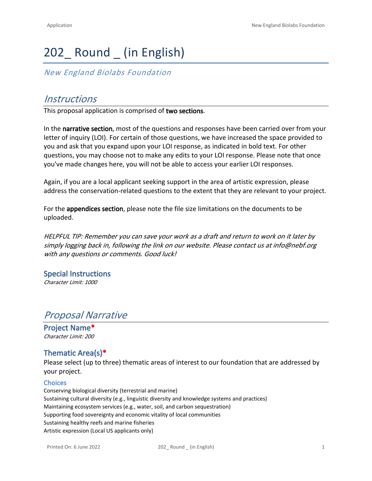# 202\_ Round \_ (in English)

*New England Biolabs Foundation*

# *Instructions*

This proposal application is comprised of **two sections**.

In the **narrative section**, most of the questions and responses have been carried over from your letter of inquiry (LOI). For certain of those questions, we have increased the space provided to you and ask that you expand upon your LOI response, as indicated in bold text. For other questions, you may choose not to make any edits to your LOI response. Please note that once you've made changes here, you will not be able to access your earlier LOI responses.

Again, if you are a local applicant seeking support in the area of artistic expression, please address the conservation-related questions to the extent that they are relevant to your project.

For the **appendices section**, please note the file size limitations on the documents to be uploaded.

*HELPFUL TIP: Remember you can save your work as a draft and return to work on it later by simply logging back in, following the link on our website. Please contact us at info@nebf.org with any questions or comments. Good luck!*

**Special Instructions** *Character Limit: 1000*

# *Proposal Narrative*

**Project Name\*** *Character Limit: 200*

# **Thematic Area(s)\***

Please select (up to three) thematic areas of interest to our foundation that are addressed by your project.

#### **Choices**

Conserving biological diversity (terrestrial and marine) Sustaining cultural diversity (e.g., linguistic diversity and knowledge systems and practices) Maintaining ecosystem services (e.g., water, soil, and carbon sequestration) Supporting food sovereignty and economic vitality of local communities Sustaining healthy reefs and marine fisheries Artistic expression (Local US applicants only)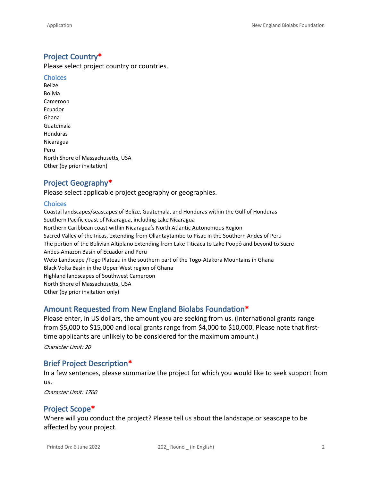# **Project Country\***

Please select project country or countries.

**Choices** Belize Bolivia Cameroon Ecuador Ghana Guatemala Honduras Nicaragua Peru North Shore of Massachusetts, USA Other (by prior invitation)

# **Project Geography\***

Please select applicable project geography or geographies.

#### **Choices**

Coastal landscapes/seascapes of Belize, Guatemala, and Honduras within the Gulf of Honduras Southern Pacific coast of Nicaragua, including Lake Nicaragua Northern Caribbean coast within Nicaragua's North Atlantic Autonomous Region Sacred Valley of the Incas, extending from Ollantaytambo to Pisac in the Southern Andes of Peru The portion of the Bolivian Altiplano extending from Lake Titicaca to Lake Poopó and beyond to Sucre Andes-Amazon Basin of Ecuador and Peru Weto Landscape /Togo Plateau in the southern part of the Togo-Atakora Mountains in Ghana Black Volta Basin in the Upper West region of Ghana Highland landscapes of Southwest Cameroon North Shore of Massachusetts, USA Other (by prior invitation only)

# **Amount Requested from New England Biolabs Foundation\***

Please enter, in US dollars, the amount you are seeking from us. (International grants range from \$5,000 to \$15,000 and local grants range from \$4,000 to \$10,000. Please note that firsttime applicants are unlikely to be considered for the maximum amount.)

*Character Limit: 20*

# **Brief Project Description\***

In a few sentences, please summarize the project for which you would like to seek support from us.

*Character Limit: 1700*

# **Project Scope\***

Where will you conduct the project? Please tell us about the landscape or seascape to be affected by your project.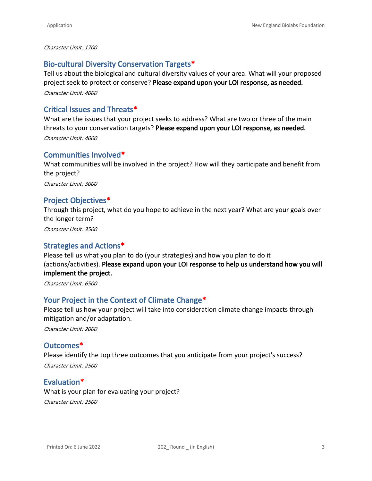#### *Character Limit: 1700*

# **Bio-cultural Diversity Conservation Targets\***

Tell us about the biological and cultural diversity values of your area. What will your proposed project seek to protect or conserve? **Please expand upon your LOI response, as needed.** *Character Limit: 4000*

# **Critical Issues and Threats\***

What are the issues that your project seeks to address? What are two or three of the main threats to your conservation targets? **Please expand upon your LOI response, as needed.** *Character Limit: 4000*

# **Communities Involved\***

What communities will be involved in the project? How will they participate and benefit from the project? *Character Limit: 3000*

# **Project Objectives\***

Through this project, what do you hope to achieve in the next year? What are your goals over the longer term?

*Character Limit: 3500*

# **Strategies and Actions\***

Please tell us what you plan to do (your strategies) and how you plan to do it (actions/activities). **Please expand upon your LOI response to help us understand how you will implement the project.**

*Character Limit: 6500*

# **Your Project in the Context of Climate Change\***

Please tell us how your project will take into consideration climate change impacts through mitigation and/or adaptation.

*Character Limit: 2000*

# **Outcomes\***

Please identify the top three outcomes that you anticipate from your project's success? *Character Limit: 2500*

# **Evaluation\***

What is your plan for evaluating your project? *Character Limit: 2500*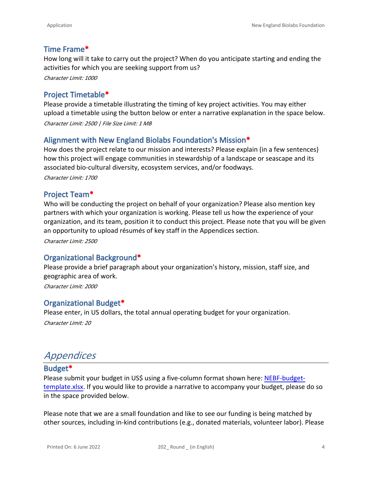# **Time Frame\***

How long will it take to carry out the project? When do you anticipate starting and ending the activities for which you are seeking support from us?

*Character Limit: 1000*

# **Project Timetable\***

Please provide a timetable illustrating the timing of key project activities. You may either upload a timetable using the button below or enter a narrative explanation in the space below.

*Character Limit: 2500 | File Size Limit: 1 MB*

# **Alignment with New England Biolabs Foundation's Mission\***

How does the project relate to our mission and interests? Please explain (in a few sentences) how this project will engage communities in stewardship of a landscape or seascape and its associated bio-cultural diversity, ecosystem services, and/or foodways.

*Character Limit: 1700*

# **Project Team\***

Who will be conducting the project on behalf of your organization? Please also mention key partners with which your organization is working. Please tell us how the experience of your organization, and its team, position it to conduct this project. Please note that you will be given an opportunity to upload résumés of key staff in the Appendices section.

*Character Limit: 2500*

# **Organizational Background\***

Please provide a brief paragraph about your organization's history, mission, staff size, and geographic area of work.

*Character Limit: 2000*

# **Organizational Budget\***

Please enter, in US dollars, the total annual operating budget for your organization.

*Character Limit: 20*

# *Appendices*

#### **Budget\***

Please submit your budget in US\$ using a five-column format shown here: [NEBF-budget](https://ecc751d1-586f-4c95-8054-8ed52ea63044.usrfiles.com/ugd/af68bf_775d151950d1499295eb722c3815a840.xlsx)[template.xlsx](https://ecc751d1-586f-4c95-8054-8ed52ea63044.usrfiles.com/ugd/af68bf_775d151950d1499295eb722c3815a840.xlsx). If you would like to provide a narrative to accompany your budget, please do so in the space provided below.

Please note that we are a small foundation and like to see our funding is being matched by other sources, including in-kind contributions (e.g., donated materials, volunteer labor). Please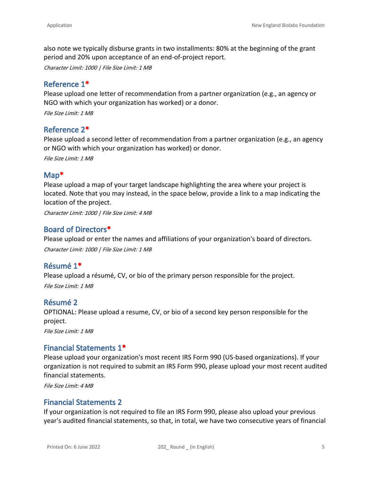also note we typically disburse grants in two installments: 80% at the beginning of the grant period and 20% upon acceptance of an end-of-project report.

*Character Limit: 1000 | File Size Limit: 1 MB*

### **Reference 1\***

Please upload one letter of recommendation from a partner organization (e.g., an agency or NGO with which your organization has worked) or a donor.

*File Size Limit: 1 MB*

#### **Reference 2\***

Please upload a second letter of recommendation from a partner organization (e.g., an agency or NGO with which your organization has worked) or donor.

*File Size Limit: 1 MB*

#### **Map\***

Please upload a map of your target landscape highlighting the area where your project is located. Note that you may instead, in the space below, provide a link to a map indicating the location of the project.

*Character Limit: 1000 | File Size Limit: 4 MB*

#### **Board of Directors\***

Please upload or enter the names and affiliations of your organization's board of directors. *Character Limit: 1000 | File Size Limit: 1 MB*

#### **Résumé 1\***

Please upload a résumé, CV, or bio of the primary person responsible for the project. *File Size Limit: 1 MB*

#### **Résumé 2**

OPTIONAL: Please upload a resume, CV, or bio of a second key person responsible for the project.

*File Size Limit: 1 MB*

# **Financial Statements 1\***

Please upload your organization's most recent IRS Form 990 (US-based organizations). If your organization is not required to submit an IRS Form 990, please upload your most recent audited financial statements.

*File Size Limit: 4 MB*

# **Financial Statements 2**

If your organization is not required to file an IRS Form 990, please also upload your previous year's audited financial statements, so that, in total, we have two consecutive years of financial